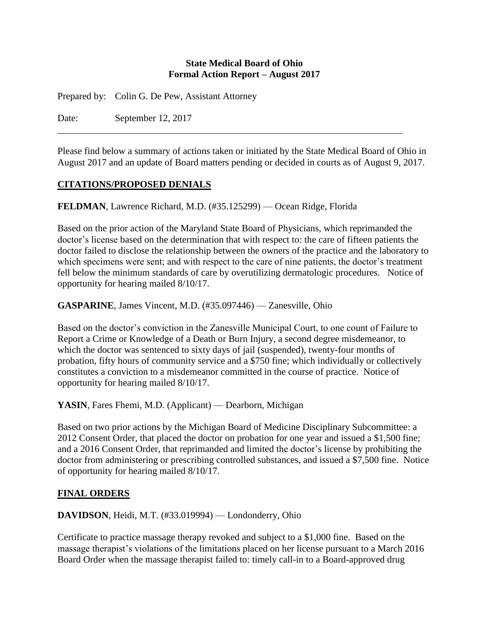#### **State Medical Board of Ohio Formal Action Report – August 2017**

Prepared by: Colin G. De Pew, Assistant Attorney

Date: September 12, 2017

Please find below a summary of actions taken or initiated by the State Medical Board of Ohio in August 2017 and an update of Board matters pending or decided in courts as of August 9, 2017.

## **CITATIONS/PROPOSED DENIALS**

**FELDMAN**, Lawrence Richard, M.D. (#35.125299) — Ocean Ridge, Florida

Based on the prior action of the Maryland State Board of Physicians, which reprimanded the doctor's license based on the determination that with respect to: the care of fifteen patients the doctor failed to disclose the relationship between the owners of the practice and the laboratory to which specimens were sent; and with respect to the care of nine patients, the doctor's treatment fell below the minimum standards of care by overutilizing dermatologic procedures. Notice of opportunity for hearing mailed 8/10/17.

**GASPARINE**, James Vincent, M.D. (#35.097446) — Zanesville, Ohio

Based on the doctor's conviction in the Zanesville Municipal Court, to one count of Failure to Report a Crime or Knowledge of a Death or Burn Injury, a second degree misdemeanor, to which the doctor was sentenced to sixty days of jail (suspended), twenty-four months of probation, fifty hours of community service and a \$750 fine; which individually or collectively constitutes a conviction to a misdemeanor committed in the course of practice. Notice of opportunity for hearing mailed 8/10/17.

YASIN, Fares Fhemi, M.D. (Applicant) — Dearborn, Michigan

Based on two prior actions by the Michigan Board of Medicine Disciplinary Subcommittee: a 2012 Consent Order, that placed the doctor on probation for one year and issued a \$1,500 fine; and a 2016 Consent Order, that reprimanded and limited the doctor's license by prohibiting the doctor from administering or prescribing controlled substances, and issued a \$7,500 fine. Notice of opportunity for hearing mailed 8/10/17.

### **FINAL ORDERS**

**DAVIDSON**, Heidi, M.T. (#33.019994) — Londonderry, Ohio

Certificate to practice massage therapy revoked and subject to a \$1,000 fine. Based on the massage therapist's violations of the limitations placed on her license pursuant to a March 2016 Board Order when the massage therapist failed to: timely call-in to a Board-approved drug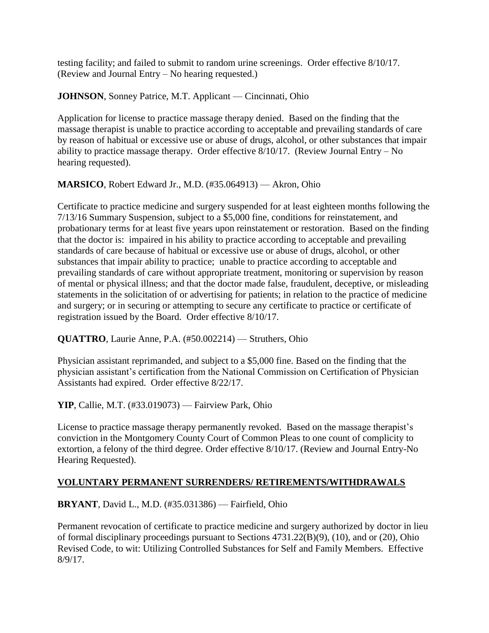testing facility; and failed to submit to random urine screenings. Order effective 8/10/17. (Review and Journal Entry – No hearing requested.)

**JOHNSON**, Sonney Patrice, M.T. Applicant — Cincinnati, Ohio

Application for license to practice massage therapy denied. Based on the finding that the massage therapist is unable to practice according to acceptable and prevailing standards of care by reason of habitual or excessive use or abuse of drugs, alcohol, or other substances that impair ability to practice massage therapy. Order effective  $8/10/17$ . (Review Journal Entry – No hearing requested).

**MARSICO**, Robert Edward Jr., M.D. (#35.064913) — Akron, Ohio

Certificate to practice medicine and surgery suspended for at least eighteen months following the 7/13/16 Summary Suspension, subject to a \$5,000 fine, conditions for reinstatement, and probationary terms for at least five years upon reinstatement or restoration. Based on the finding that the doctor is: impaired in his ability to practice according to acceptable and prevailing standards of care because of habitual or excessive use or abuse of drugs, alcohol, or other substances that impair ability to practice; unable to practice according to acceptable and prevailing standards of care without appropriate treatment, monitoring or supervision by reason of mental or physical illness; and that the doctor made false, fraudulent, deceptive, or misleading statements in the solicitation of or advertising for patients; in relation to the practice of medicine and surgery; or in securing or attempting to secure any certificate to practice or certificate of registration issued by the Board. Order effective 8/10/17.

**QUATTRO**, Laurie Anne, P.A. (#50.002214) — Struthers, Ohio

Physician assistant reprimanded, and subject to a \$5,000 fine. Based on the finding that the physician assistant's certification from the National Commission on Certification of Physician Assistants had expired. Order effective 8/22/17.

**YIP**, Callie, M.T. (#33.019073) — Fairview Park, Ohio

License to practice massage therapy permanently revoked. Based on the massage therapist's conviction in the Montgomery County Court of Common Pleas to one count of complicity to extortion, a felony of the third degree. Order effective 8/10/17. (Review and Journal Entry-No Hearing Requested).

# **VOLUNTARY PERMANENT SURRENDERS/ RETIREMENTS/WITHDRAWALS**

**BRYANT**, David L., M.D. (#35.031386) — Fairfield, Ohio

Permanent revocation of certificate to practice medicine and surgery authorized by doctor in lieu of formal disciplinary proceedings pursuant to Sections 4731.22(B)(9), (10), and or (20), Ohio Revised Code, to wit: Utilizing Controlled Substances for Self and Family Members. Effective 8/9/17.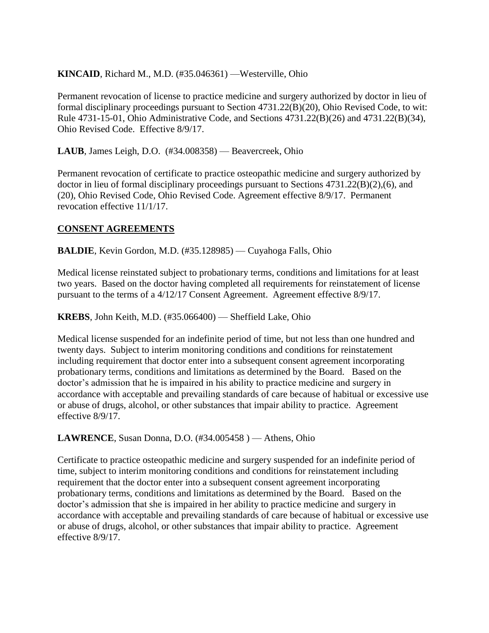## **KINCAID**, Richard M., M.D. (#35.046361) —Westerville, Ohio

Permanent revocation of license to practice medicine and surgery authorized by doctor in lieu of formal disciplinary proceedings pursuant to Section 4731.22(B)(20), Ohio Revised Code, to wit: Rule 4731-15-01, Ohio Administrative Code, and Sections 4731.22(B)(26) and 4731.22(B)(34), Ohio Revised Code. Effective 8/9/17.

**LAUB**, James Leigh, D.O. (#34.008358) — Beavercreek, Ohio

Permanent revocation of certificate to practice osteopathic medicine and surgery authorized by doctor in lieu of formal disciplinary proceedings pursuant to Sections 4731.22(B)(2),(6), and (20), Ohio Revised Code, Ohio Revised Code. Agreement effective 8/9/17. Permanent revocation effective 11/1/17.

#### **CONSENT AGREEMENTS**

**BALDIE**, Kevin Gordon, M.D. (#35.128985) — Cuyahoga Falls, Ohio

Medical license reinstated subject to probationary terms, conditions and limitations for at least two years. Based on the doctor having completed all requirements for reinstatement of license pursuant to the terms of a 4/12/17 Consent Agreement. Agreement effective 8/9/17.

**KREBS**, John Keith, M.D. (#35.066400) — Sheffield Lake, Ohio

Medical license suspended for an indefinite period of time, but not less than one hundred and twenty days. Subject to interim monitoring conditions and conditions for reinstatement including requirement that doctor enter into a subsequent consent agreement incorporating probationary terms, conditions and limitations as determined by the Board. Based on the doctor's admission that he is impaired in his ability to practice medicine and surgery in accordance with acceptable and prevailing standards of care because of habitual or excessive use or abuse of drugs, alcohol, or other substances that impair ability to practice. Agreement effective 8/9/17.

### **LAWRENCE**, Susan Donna, D.O. (#34.005458) — Athens, Ohio

Certificate to practice osteopathic medicine and surgery suspended for an indefinite period of time, subject to interim monitoring conditions and conditions for reinstatement including requirement that the doctor enter into a subsequent consent agreement incorporating probationary terms, conditions and limitations as determined by the Board. Based on the doctor's admission that she is impaired in her ability to practice medicine and surgery in accordance with acceptable and prevailing standards of care because of habitual or excessive use or abuse of drugs, alcohol, or other substances that impair ability to practice. Agreement effective 8/9/17.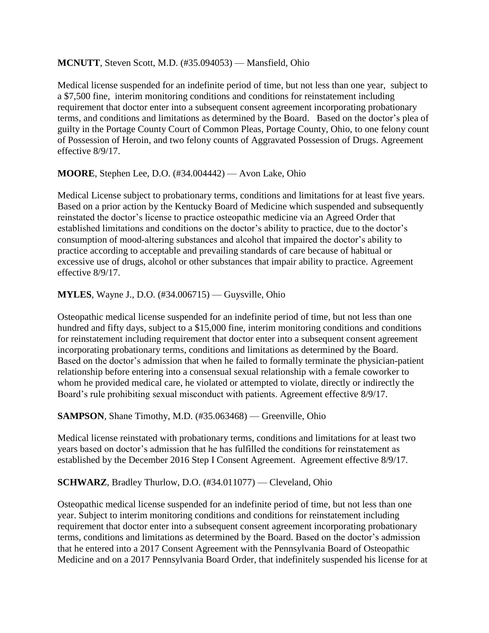#### **MCNUTT**, Steven Scott, M.D. (#35.094053) — Mansfield, Ohio

Medical license suspended for an indefinite period of time, but not less than one year, subject to a \$7,500 fine, interim monitoring conditions and conditions for reinstatement including requirement that doctor enter into a subsequent consent agreement incorporating probationary terms, and conditions and limitations as determined by the Board. Based on the doctor's plea of guilty in the Portage County Court of Common Pleas, Portage County, Ohio, to one felony count of Possession of Heroin, and two felony counts of Aggravated Possession of Drugs. Agreement effective 8/9/17.

**MOORE**, Stephen Lee, D.O. (#34.004442) — Avon Lake, Ohio

Medical License subject to probationary terms, conditions and limitations for at least five years. Based on a prior action by the Kentucky Board of Medicine which suspended and subsequently reinstated the doctor's license to practice osteopathic medicine via an Agreed Order that established limitations and conditions on the doctor's ability to practice, due to the doctor's consumption of mood-altering substances and alcohol that impaired the doctor's ability to practice according to acceptable and prevailing standards of care because of habitual or excessive use of drugs, alcohol or other substances that impair ability to practice. Agreement effective 8/9/17.

**MYLES**, Wayne J., D.O. (#34.006715) — Guysville, Ohio

Osteopathic medical license suspended for an indefinite period of time, but not less than one hundred and fifty days, subject to a \$15,000 fine, interim monitoring conditions and conditions for reinstatement including requirement that doctor enter into a subsequent consent agreement incorporating probationary terms, conditions and limitations as determined by the Board. Based on the doctor's admission that when he failed to formally terminate the physician-patient relationship before entering into a consensual sexual relationship with a female coworker to whom he provided medical care, he violated or attempted to violate, directly or indirectly the Board's rule prohibiting sexual misconduct with patients. Agreement effective 8/9/17.

**SAMPSON**, Shane Timothy, M.D. (#35.063468) — Greenville, Ohio

Medical license reinstated with probationary terms, conditions and limitations for at least two years based on doctor's admission that he has fulfilled the conditions for reinstatement as established by the December 2016 Step I Consent Agreement. Agreement effective 8/9/17.

### **SCHWARZ**, Bradley Thurlow, D.O. (#34.011077) — Cleveland, Ohio

Osteopathic medical license suspended for an indefinite period of time, but not less than one year. Subject to interim monitoring conditions and conditions for reinstatement including requirement that doctor enter into a subsequent consent agreement incorporating probationary terms, conditions and limitations as determined by the Board. Based on the doctor's admission that he entered into a 2017 Consent Agreement with the Pennsylvania Board of Osteopathic Medicine and on a 2017 Pennsylvania Board Order, that indefinitely suspended his license for at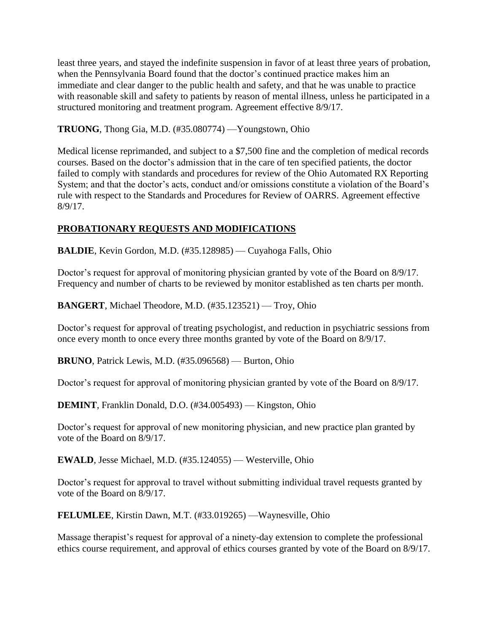least three years, and stayed the indefinite suspension in favor of at least three years of probation, when the Pennsylvania Board found that the doctor's continued practice makes him an immediate and clear danger to the public health and safety, and that he was unable to practice with reasonable skill and safety to patients by reason of mental illness, unless he participated in a structured monitoring and treatment program. Agreement effective 8/9/17.

**TRUONG**, Thong Gia, M.D. (#35.080774) —Youngstown, Ohio

Medical license reprimanded, and subject to a \$7,500 fine and the completion of medical records courses. Based on the doctor's admission that in the care of ten specified patients, the doctor failed to comply with standards and procedures for review of the Ohio Automated RX Reporting System; and that the doctor's acts, conduct and/or omissions constitute a violation of the Board's rule with respect to the Standards and Procedures for Review of OARRS. Agreement effective 8/9/17.

# **PROBATIONARY REQUESTS AND MODIFICATIONS**

**BALDIE**, Kevin Gordon, M.D. (#35.128985) — Cuyahoga Falls, Ohio

Doctor's request for approval of monitoring physician granted by vote of the Board on 8/9/17. Frequency and number of charts to be reviewed by monitor established as ten charts per month.

**BANGERT**, Michael Theodore, M.D. (#35.123521) — Troy, Ohio

Doctor's request for approval of treating psychologist, and reduction in psychiatric sessions from once every month to once every three months granted by vote of the Board on 8/9/17.

**BRUNO**, Patrick Lewis, M.D. (#35.096568) — Burton, Ohio

Doctor's request for approval of monitoring physician granted by vote of the Board on 8/9/17.

**DEMINT**, Franklin Donald, D.O. (#34.005493) — Kingston, Ohio

Doctor's request for approval of new monitoring physician, and new practice plan granted by vote of the Board on 8/9/17.

**EWALD**, Jesse Michael, M.D. (#35.124055) — Westerville, Ohio

Doctor's request for approval to travel without submitting individual travel requests granted by vote of the Board on 8/9/17.

**FELUMLEE**, Kirstin Dawn, M.T. (#33.019265) —Waynesville, Ohio

Massage therapist's request for approval of a ninety-day extension to complete the professional ethics course requirement, and approval of ethics courses granted by vote of the Board on 8/9/17.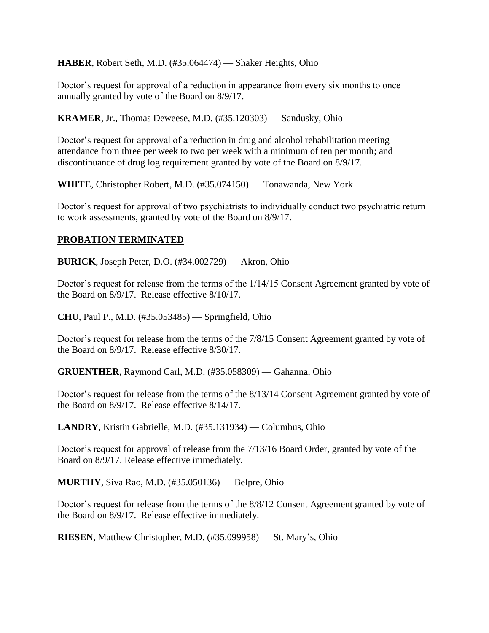**HABER**, Robert Seth, M.D. (#35.064474) — Shaker Heights, Ohio

Doctor's request for approval of a reduction in appearance from every six months to once annually granted by vote of the Board on 8/9/17.

**KRAMER**, Jr., Thomas Deweese, M.D. (#35.120303) — Sandusky, Ohio

Doctor's request for approval of a reduction in drug and alcohol rehabilitation meeting attendance from three per week to two per week with a minimum of ten per month; and discontinuance of drug log requirement granted by vote of the Board on 8/9/17.

**WHITE**, Christopher Robert, M.D. (#35.074150) — Tonawanda, New York

Doctor's request for approval of two psychiatrists to individually conduct two psychiatric return to work assessments, granted by vote of the Board on 8/9/17.

### **PROBATION TERMINATED**

**BURICK**, Joseph Peter, D.O. (#34.002729) — Akron, Ohio

Doctor's request for release from the terms of the 1/14/15 Consent Agreement granted by vote of the Board on 8/9/17. Release effective 8/10/17.

**CHU**, Paul P., M.D. (#35.053485) — Springfield, Ohio

Doctor's request for release from the terms of the 7/8/15 Consent Agreement granted by vote of the Board on 8/9/17. Release effective 8/30/17.

**GRUENTHER**, Raymond Carl, M.D. (#35.058309) — Gahanna, Ohio

Doctor's request for release from the terms of the 8/13/14 Consent Agreement granted by vote of the Board on 8/9/17. Release effective 8/14/17.

**LANDRY**, Kristin Gabrielle, M.D. (#35.131934) — Columbus, Ohio

Doctor's request for approval of release from the 7/13/16 Board Order, granted by vote of the Board on 8/9/17. Release effective immediately.

**MURTHY**, Siva Rao, M.D. (#35.050136) — Belpre, Ohio

Doctor's request for release from the terms of the 8/8/12 Consent Agreement granted by vote of the Board on 8/9/17. Release effective immediately.

**RIESEN**, Matthew Christopher, M.D. (#35.099958) — St. Mary's, Ohio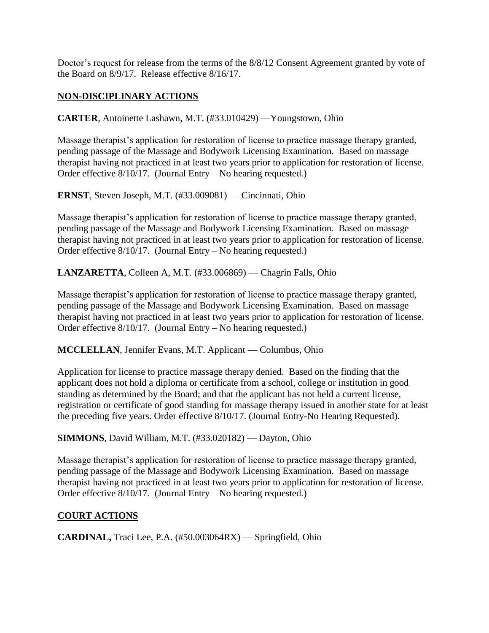Doctor's request for release from the terms of the 8/8/12 Consent Agreement granted by vote of the Board on 8/9/17. Release effective 8/16/17.

### **NON-DISCIPLINARY ACTIONS**

**CARTER**, Antoinette Lashawn, M.T. (#33.010429) —Youngstown, Ohio

Massage therapist's application for restoration of license to practice massage therapy granted, pending passage of the Massage and Bodywork Licensing Examination. Based on massage therapist having not practiced in at least two years prior to application for restoration of license. Order effective 8/10/17. (Journal Entry – No hearing requested.)

**ERNST**, Steven Joseph, M.T. (#33.009081) — Cincinnati, Ohio

Massage therapist's application for restoration of license to practice massage therapy granted, pending passage of the Massage and Bodywork Licensing Examination. Based on massage therapist having not practiced in at least two years prior to application for restoration of license. Order effective 8/10/17. (Journal Entry – No hearing requested.)

**LANZARETTA**, Colleen A, M.T. (#33.006869) — Chagrin Falls, Ohio

Massage therapist's application for restoration of license to practice massage therapy granted, pending passage of the Massage and Bodywork Licensing Examination. Based on massage therapist having not practiced in at least two years prior to application for restoration of license. Order effective 8/10/17. (Journal Entry – No hearing requested.)

**MCCLELLAN**, Jennifer Evans, M.T. Applicant — Columbus, Ohio

Application for license to practice massage therapy denied. Based on the finding that the applicant does not hold a diploma or certificate from a school, college or institution in good standing as determined by the Board; and that the applicant has not held a current license, registration or certificate of good standing for massage therapy issued in another state for at least the preceding five years. Order effective 8/10/17. (Journal Entry-No Hearing Requested).

**SIMMONS**, David William, M.T. (#33.020182) — Dayton, Ohio

Massage therapist's application for restoration of license to practice massage therapy granted, pending passage of the Massage and Bodywork Licensing Examination. Based on massage therapist having not practiced in at least two years prior to application for restoration of license. Order effective 8/10/17. (Journal Entry – No hearing requested.)

### **COURT ACTIONS**

**CARDINAL,** Traci Lee, P.A. (#50.003064RX) — Springfield, Ohio